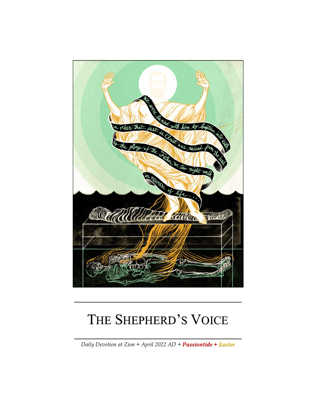

# THE SHEPHERD'S VOICE

*Daily Devotion at Zion + April 2022 AD + Passiontide + Easter*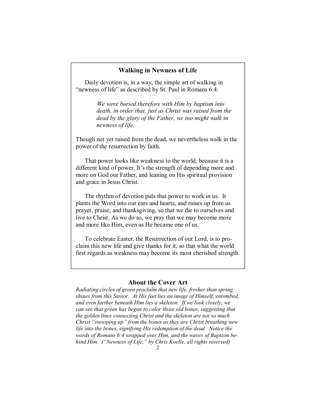#### **Walking in Newness of Life**

Daily devotion is, in a way, the simple art of walking in "newness of life" as described by St. Paul in Romans 6:4:

> *We were buried therefore with Him by baptism into death, in order that, just as Christ was raised from the dead by the glory of the Father, we too might walk in newness of life.*

Though not yet raised from the dead, we nevertheless walk in the power of the resurrection by faith.

That power looks like weakness to the world, because it is a different kind of power. It's the strength of depending more and more on God our Father, and leaning on His spiritual provision and grace in Jesus Christ.

The rhythm of devotion puts that power to work in us. It plants the Word into our ears and hearts, and raises up from us prayer, praise, and thanksgiving, so that we die to ourselves and live to Christ. As we do so, we pray that we may become more and more like Him, even as He became one of us.

To celebrate Easter, the Resurrection of our Lord, is to proclaim this new life and give thanks for it, so that what the world first regards as weakness may become its most cherished strength.

#### **About the Cover Art**

*Radiating circles of green proclaim that new life, fresher than spring, shines from this Savior. At His feet lies an image of Himself, entombed, and even farther beneath Him lies a skeleton. If we look closely, we can see that green has begun to color those old bones, suggesting that the golden lines connecting Christ and the skeleton are not so much Christ "swooping up" from the bones as they are Christ breathing new*  life into the bones, signifying His redemption of the dead. Notice the *words of Romans 6:4 wrapped over Him, and the waves of Baptism behind Him. ("Newness of Life," by Chris Koelle, all rights reserved)*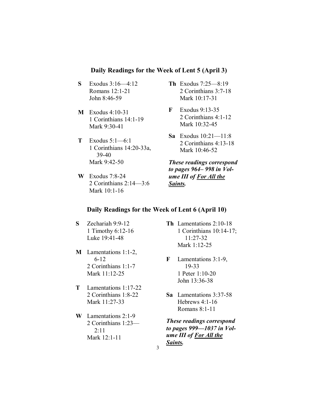### **Daily Readings for the Week of Lent 5 (April 3)**

- **S** Exodus 3:16—4:12 Romans 12:1-21 John 8:46-59
- **M** Exodus 4:10-31 1 Corinthians 14:1-19 Mark 9:30-41
- **T** Exodus 5:1—6:1 1 Corinthians 14:20-33a, 39-40 Mark 9:42-50
- **W** Exodus 7:8-24 2 Corinthians 2:14—3:6 Mark 10:1-16
- **Th** Exodus 7:25—8:19 2 Corinthians 3:7-18 Mark 10:17-31
- **F** Exodus 9:13-35 2 Corinthians 4:1-12 Mark 10:32-45
- **Sa** Exodus 10:21—11:8 2 Corinthians 4:13-18 Mark 10:46-52

*These readings correspond to pages 964– 998 in Volume III of For All the Saints.* 

# **Daily Readings for the Week of Lent 6 (April 10)**

- **S** Zechariah 9:9-12 1 Timothy 6:12-16 Luke 19:41-48
- **M** Lamentations 1:1-2, 6-12 2 Corinthians 1:1-7 Mark 11:12-25
- **T** Lamentations 1:17-22 2 Corinthians 1:8-22 Mark 11:27-33
- **W** Lamentations 2:1-9 2 Corinthians 1:23— 2:11 Mark 12:1-11
- **Th** Lamentations 2:10-18 1 Corinthians 10:14-17; 11:27-32 Mark 1:12-25
- **F** Lamentations 3:1-9, 19-33 1 Peter 1:10-20 John 13:36-38
- **Sa** Lamentations 3:37-58 Hebrews 4:1-16 Romans 8:1-11
- *These readings correspond to pages 999—1037 in Volume III of For All the Saints.*